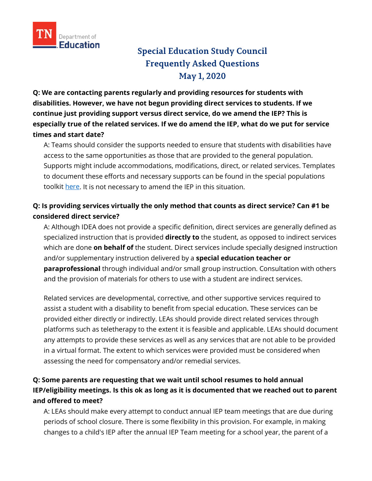

# **Special Education Study Council Frequently Asked Questions May 1, 2020**

**Q: We are contacting parents regularly and providing resources for students with disabilities. However, we have not begun providing direct services to students. If we continue just providing support versus direct service, do we amend the IEP? This is especially true of the related services. If we do amend the IEP, what do we put for service times and start date?**

A: Teams should consider the supports needed to ensure that students with disabilities have access to the same opportunities as those that are provided to the general population. Supports might include accommodations, modifications, direct, or related services. Templates to document these efforts and necessary supports can be found in the special populations toolkit [here.](https://www.tn.gov/content/dam/tn/education/health-&-safety/School%20Closure%20Toolkit_Special%20Populations.pdf) It is not necessary to amend the IEP in this situation.

# **Q: Is providing services virtually the only method that counts as direct service? Can #1 be considered direct service?**

A: Although IDEA does not provide a specific definition, direct services are generally defined as specialized instruction that is provided **directly to** the student, as opposed to indirect services which are done **on behalf of** the student. Direct services include specially designed instruction and/or supplementary instruction delivered by a **special education teacher or paraprofessional** through individual and/or small group instruction. Consultation with others and the provision of materials for others to use with a student are indirect services.

Related services are developmental, corrective, and other supportive services required to assist a student with a disability to benefit from special education. These services can be provided either directly or indirectly. LEAs should provide direct related services through platforms such as teletherapy to the extent it is feasible and applicable. LEAs should document any attempts to provide these services as well as any services that are not able to be provided in a virtual format. The extent to which services were provided must be considered when assessing the need for compensatory and/or remedial services.

# **Q: Some parents are requesting that we wait until school resumes to hold annual IEP/eligibility meetings. Is this ok as long as it is documented that we reached out to parent and offered to meet?**

A: LEAs should make every attempt to conduct annual IEP team meetings that are due during periods of school closure. There is some flexibility in this provision. For example, in making changes to a child's IEP after the annual IEP Team meeting for a school year, the parent of a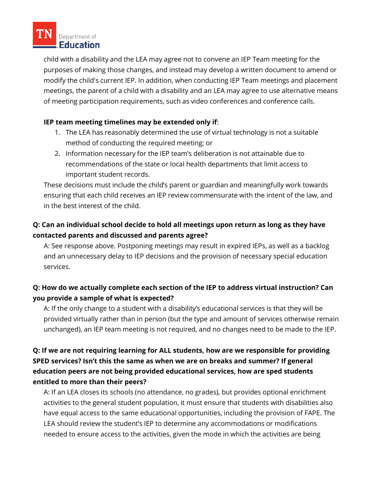

child with a disability and the LEA may agree not to convene an IEP Team meeting for the purposes of making those changes, and instead may develop a written document to amend or modify the child's current IEP. In addition, when conducting IEP Team meetings and placement meetings, the parent of a child with a disability and an LEA may agree to use alternative means of meeting participation requirements, such as video conferences and conference calls.

### **IEP team meeting timelines may be extended only if**:

- 1. The LEA has reasonably determined the use of virtual technology is not a suitable method of conducting the required meeting; or
- 2. Information necessary for the IEP team's deliberation is not attainable due to recommendations of the state or local health departments that limit access to important student records.

These decisions must include the child's parent or guardian and meaningfully work towards ensuring that each child receives an IEP review commensurate with the intent of the law, and in the best interest of the child.

# **Q: Can an individual school decide to hold all meetings upon return as long as they have contacted parents and discussed and parents agree?**

A: See response above. Postponing meetings may result in expired IEPs, as well as a backlog and an unnecessary delay to IEP decisions and the provision of necessary special education services.

# **Q: How do we actually complete each section of the IEP to address virtual instruction? Can you provide a sample of what is expected?**

A: If the only change to a student with a disability's educational services is that they will be provided virtually rather than in person (but the type and amount of services otherwise remain unchanged), an IEP team meeting is not required, and no changes need to be made to the IEP.

# **Q: If we are not requiring learning for ALL students, how are we responsible for providing SPED services? Isn't this the same as when we are on breaks and summer? If general education peers are not being provided educational services, how are sped students entitled to more than their peers?**

A: If an LEA closes its schools (no attendance, no grades), but provides optional enrichment activities to the general student population, it must ensure that students with disabilities also have equal access to the same educational opportunities, including the provision of FAPE. The LEA should review the student's IEP to determine any accommodations or modifications needed to ensure access to the activities, given the mode in which the activities are being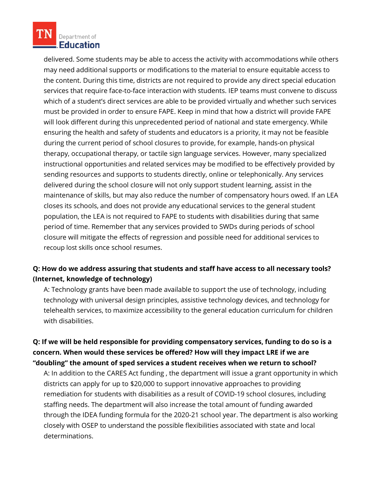

delivered. Some students may be able to access the activity with accommodations while others may need additional supports or modifications to the material to ensure equitable access to the content. During this time, districts are not required to provide any direct special education services that require face-to-face interaction with students. IEP teams must convene to discuss which of a student's direct services are able to be provided virtually and whether such services must be provided in order to ensure FAPE. Keep in mind that how a district will provide FAPE will look different during this unprecedented period of national and state emergency. While ensuring the health and safety of students and educators is a priority, it may not be feasible during the current period of school closures to provide, for example, hands-on physical therapy, occupational therapy, or tactile sign language services. However, many specialized instructional opportunities and related services may be modified to be effectively provided by sending resources and supports to students directly, online or telephonically. Any services delivered during the school closure will not only support student learning, assist in the maintenance of skills, but may also reduce the number of compensatory hours owed. If an LEA closes its schools, and does not provide any educational services to the general student population, the LEA is not required to FAPE to students with disabilities during that same period of time. Remember that any services provided to SWDs during periods of school closure will mitigate the effects of regression and possible need for additional services to recoup lost skills once school resumes.

## **Q: How do we address assuring that students and staff have access to all necessary tools? (Internet, knowledge of technology)**

A: Technology grants have been made available to support the use of technology, including technology with universal design principles, assistive technology devices, and technology for telehealth services, to maximize accessibility to the general education curriculum for children with disabilities.

# **Q: If we will be held responsible for providing compensatory services, funding to do so is a concern. When would these services be offered? How will they impact LRE if we are "doubling" the amount of sped services a student receives when we return to school?**

A: In addition to the CARES Act funding , the department will issue a grant opportunity in which districts can apply for up to \$20,000 to support innovative approaches to providing remediation for students with disabilities as a result of COVID-19 school closures, including staffing needs. The department will also increase the total amount of funding awarded through the IDEA funding formula for the 2020-21 school year. The department is also working closely with OSEP to understand the possible flexibilities associated with state and local determinations.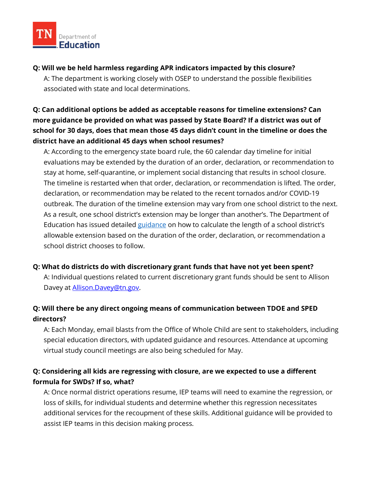

#### **Q: Will we be held harmless regarding APR indicators impacted by this closure?**

A: The department is working closely with OSEP to understand the possible flexibilities associated with state and local determinations.

# **Q: Can additional options be added as acceptable reasons for timeline extensions? Can more guidance be provided on what was passed by State Board? If a district was out of school for 30 days, does that mean those 45 days didn't count in the timeline or does the district have an additional 45 days when school resumes?**

A: According to the emergency state board rule, the 60 calendar day timeline for initial evaluations may be extended by the duration of an order, declaration, or recommendation to stay at home, self-quarantine, or implement social distancing that results in school closure. The timeline is restarted when that order, declaration, or recommendation is lifted. The order, declaration, or recommendation may be related to the recent tornados and/or COVID-19 outbreak. The duration of the timeline extension may vary from one school district to the next. As a result, one school district's extension may be longer than another's. The Department of Education has issued detailed [guidance](https://www.tn.gov/content/dam/tn/education/health-&-safety/Special%20Education%20Emergency%20Rules%204.16.20_FINAL.pdf) on how to calculate the length of a school district's allowable extension based on the duration of the order, declaration, or recommendation a school district chooses to follow.

#### **Q: What do districts do with discretionary grant funds that have not yet been spent?**

A: Individual questions related to current discretionary grant funds should be sent to Allison Davey at **Allison.Davey@tn.gov.** 

# **Q: Will there be any direct ongoing means of communication between TDOE and SPED directors?**

A: Each Monday, email blasts from the Office of Whole Child are sent to stakeholders, including special education directors, with updated guidance and resources. Attendance at upcoming virtual study council meetings are also being scheduled for May.

# **Q: Considering all kids are regressing with closure, are we expected to use a different formula for SWDs? If so, what?**

A: Once normal district operations resume, IEP teams will need to examine the regression, or loss of skills, for individual students and determine whether this regression necessitates additional services for the recoupment of these skills. Additional guidance will be provided to assist IEP teams in this decision making process.